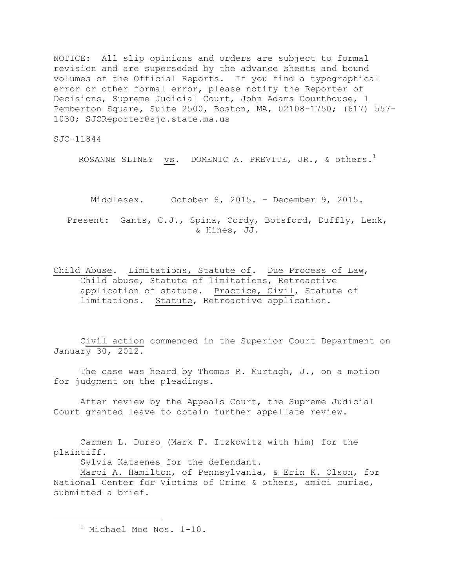NOTICE: All slip opinions and orders are subject to formal revision and are superseded by the advance sheets and bound volumes of the Official Reports. If you find a typographical error or other formal error, please notify the Reporter of Decisions, Supreme Judicial Court, John Adams Courthouse, 1 Pemberton Square, Suite 2500, Boston, MA, 02108-1750; (617) 557- 1030; SJCReporter@sjc.state.ma.us

SJC-11844

ROSANNE SLINEY  $\,$  vs. DOMENIC A. PREVITE, JR., & others. $^1$ 

Middlesex. October 8, 2015. - December 9, 2015. Present: Gants, C.J., Spina, Cordy, Botsford, Duffly, Lenk, & Hines, JJ.

Child Abuse. Limitations, Statute of. Due Process of Law, Child abuse, Statute of limitations, Retroactive application of statute. Practice, Civil, Statute of limitations. Statute, Retroactive application.

Civil action commenced in the Superior Court Department on January 30, 2012.

The case was heard by Thomas R. Murtagh, J., on a motion for judgment on the pleadings.

After review by the Appeals Court, the Supreme Judicial Court granted leave to obtain further appellate review.

Carmen L. Durso (Mark F. Itzkowitz with him) for the plaintiff.

Sylvia Katsenes for the defendant.

Marci A. Hamilton, of Pennsylvania, & Erin K. Olson, for National Center for Victims of Crime & others, amici curiae, submitted a brief.

<sup>&</sup>lt;sup>1</sup> Michael Moe Nos. 1-10.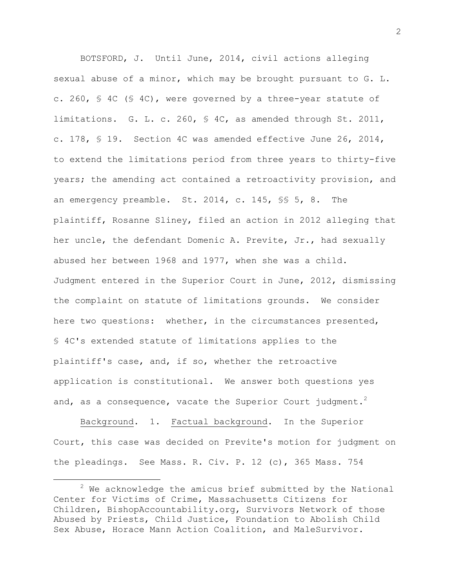BOTSFORD, J. Until June, 2014, civil actions alleging sexual abuse of a minor, which may be brought pursuant to G. L. c. 260, § 4C (§ 4C), were governed by a three-year statute of limitations. G. L. c. 260, § 4C, as amended through St. 2011, c. 178, § 19. Section 4C was amended effective June 26, 2014, to extend the limitations period from three years to thirty-five years; the amending act contained a retroactivity provision, and an emergency preamble. St. 2014, c. 145, §§ 5, 8. The plaintiff, Rosanne Sliney, filed an action in 2012 alleging that her uncle, the defendant Domenic A. Previte, Jr., had sexually abused her between 1968 and 1977, when she was a child. Judgment entered in the Superior Court in June, 2012, dismissing the complaint on statute of limitations grounds. We consider here two questions: whether, in the circumstances presented, § 4C's extended statute of limitations applies to the plaintiff's case, and, if so, whether the retroactive application is constitutional. We answer both questions yes and, as a consequence, vacate the Superior Court judgment.<sup>2</sup>

Background. 1. Factual background. In the Superior Court, this case was decided on Previte's motion for judgment on the pleadings. See Mass. R. Civ. P. 12 (c), 365 Mass. 754

 $2$  We acknowledge the amicus brief submitted by the National Center for Victims of Crime, Massachusetts Citizens for Children, BishopAccountability.org, Survivors Network of those Abused by Priests, Child Justice, Foundation to Abolish Child Sex Abuse, Horace Mann Action Coalition, and MaleSurvivor.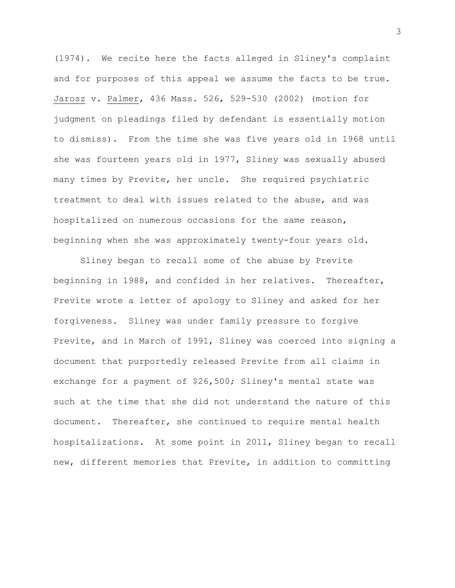(1974). We recite here the facts alleged in Sliney's complaint and for purposes of this appeal we assume the facts to be true. Jarosz v. Palmer, 436 Mass. 526, 529-530 (2002) (motion for judgment on pleadings filed by defendant is essentially motion to dismiss). From the time she was five years old in 1968 until she was fourteen years old in 1977, Sliney was sexually abused many times by Previte, her uncle. She required psychiatric treatment to deal with issues related to the abuse, and was hospitalized on numerous occasions for the same reason, beginning when she was approximately twenty-four years old.

Sliney began to recall some of the abuse by Previte beginning in 1988, and confided in her relatives. Thereafter, Previte wrote a letter of apology to Sliney and asked for her forgiveness. Sliney was under family pressure to forgive Previte, and in March of 1991, Sliney was coerced into signing a document that purportedly released Previte from all claims in exchange for a payment of \$26,500; Sliney's mental state was such at the time that she did not understand the nature of this document. Thereafter, she continued to require mental health hospitalizations. At some point in 2011, Sliney began to recall new, different memories that Previte, in addition to committing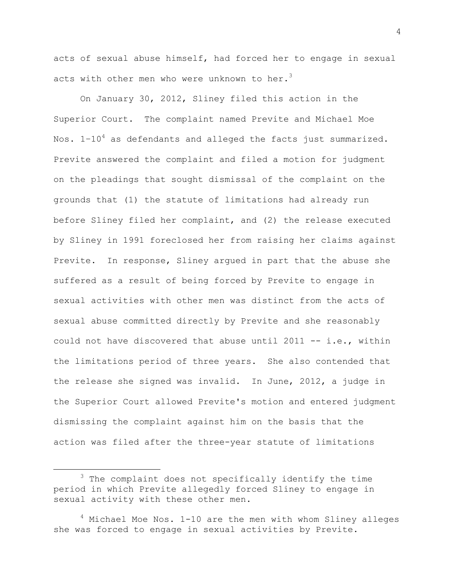acts of sexual abuse himself, had forced her to engage in sexual acts with other men who were unknown to her. $^3$ 

On January 30, 2012, Sliney filed this action in the Superior Court. The complaint named Previte and Michael Moe Nos.  $1-10^4$  as defendants and alleged the facts just summarized. Previte answered the complaint and filed a motion for judgment on the pleadings that sought dismissal of the complaint on the grounds that (1) the statute of limitations had already run before Sliney filed her complaint, and (2) the release executed by Sliney in 1991 foreclosed her from raising her claims against Previte. In response, Sliney argued in part that the abuse she suffered as a result of being forced by Previte to engage in sexual activities with other men was distinct from the acts of sexual abuse committed directly by Previte and she reasonably could not have discovered that abuse until 2011 -- i.e., within the limitations period of three years. She also contended that the release she signed was invalid. In June, 2012, a judge in the Superior Court allowed Previte's motion and entered judgment dismissing the complaint against him on the basis that the action was filed after the three-year statute of limitations

L,

<sup>&</sup>lt;sup>3</sup> The complaint does not specifically identify the time period in which Previte allegedly forced Sliney to engage in sexual activity with these other men.

 $4$  Michael Moe Nos. 1-10 are the men with whom Sliney alleges she was forced to engage in sexual activities by Previte.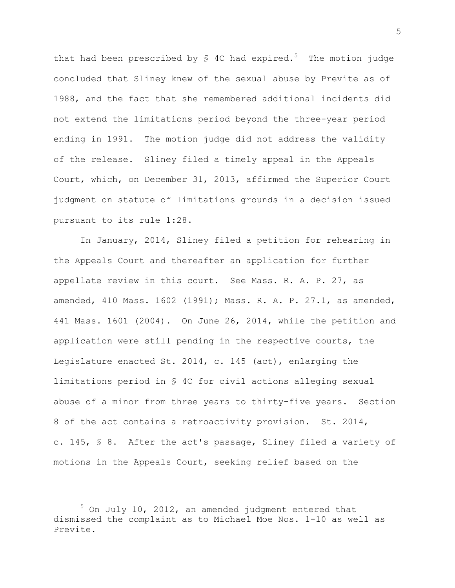that had been prescribed by  $\frac{1}{2}$  4C had expired.<sup>5</sup> The motion judge concluded that Sliney knew of the sexual abuse by Previte as of 1988, and the fact that she remembered additional incidents did not extend the limitations period beyond the three-year period ending in 1991. The motion judge did not address the validity of the release. Sliney filed a timely appeal in the Appeals Court, which, on December 31, 2013, affirmed the Superior Court judgment on statute of limitations grounds in a decision issued pursuant to its rule 1:28.

In January, 2014, Sliney filed a petition for rehearing in the Appeals Court and thereafter an application for further appellate review in this court. See Mass. R. A. P. 27, as amended, 410 Mass. 1602 (1991); Mass. R. A. P. 27.1, as amended, 441 Mass. 1601 (2004). On June 26, 2014, while the petition and application were still pending in the respective courts, the Legislature enacted St. 2014, c. 145 (act), enlarging the limitations period in § 4C for civil actions alleging sexual abuse of a minor from three years to thirty-five years. Section 8 of the act contains a retroactivity provision. St. 2014, c. 145, § 8. After the act's passage, Sliney filed a variety of motions in the Appeals Court, seeking relief based on the

<sup>5</sup> On July 10, 2012, an amended judgment entered that dismissed the complaint as to Michael Moe Nos. 1-10 as well as Previte.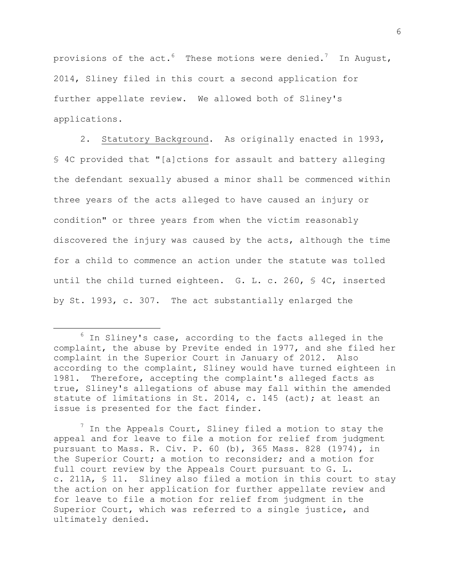provisions of the  $act.^6$  These motions were denied.<sup>7</sup> In August, 2014, Sliney filed in this court a second application for further appellate review. We allowed both of Sliney's applications.

2. Statutory Background. As originally enacted in 1993, § 4C provided that "[a]ctions for assault and battery alleging the defendant sexually abused a minor shall be commenced within three years of the acts alleged to have caused an injury or condition" or three years from when the victim reasonably discovered the injury was caused by the acts, although the time for a child to commence an action under the statute was tolled until the child turned eighteen. G. L. c. 260, § 4C, inserted by St. 1993, c. 307. The act substantially enlarged the

÷.

 $<sup>7</sup>$  In the Appeals Court, Sliney filed a motion to stay the</sup> appeal and for leave to file a motion for relief from judgment pursuant to Mass. R. Civ. P. 60 (b), 365 Mass. 828 (1974), in the Superior Court; a motion to reconsider; and a motion for full court review by the Appeals Court pursuant to G. L. c. 211A, § 11. Sliney also filed a motion in this court to stay the action on her application for further appellate review and for leave to file a motion for relief from judgment in the Superior Court, which was referred to a single justice, and ultimately denied.

 $6$  In Sliney's case, according to the facts alleged in the complaint, the abuse by Previte ended in 1977, and she filed her complaint in the Superior Court in January of 2012. Also according to the complaint, Sliney would have turned eighteen in 1981. Therefore, accepting the complaint's alleged facts as true, Sliney's allegations of abuse may fall within the amended statute of limitations in St. 2014, c. 145 (act); at least an issue is presented for the fact finder.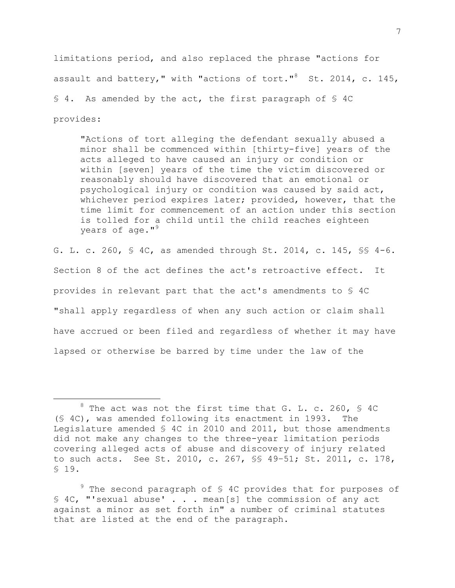limitations period, and also replaced the phrase "actions for assault and battery," with "actions of tort." $^8$  St. 2014, c. 145, § 4. As amended by the act, the first paragraph of § 4C provides:

"Actions of tort alleging the defendant sexually abused a minor shall be commenced within [thirty-five] years of the acts alleged to have caused an injury or condition or within [seven] years of the time the victim discovered or reasonably should have discovered that an emotional or psychological injury or condition was caused by said act, whichever period expires later; provided, however, that the time limit for commencement of an action under this section is tolled for a child until the child reaches eighteen years of age."<sup>9</sup>

G. L. c. 260, § 4C, as amended through St. 2014, c. 145, §§ 4-6. Section 8 of the act defines the act's retroactive effect. It provides in relevant part that the act's amendments to § 4C "shall apply regardless of when any such action or claim shall have accrued or been filed and regardless of whether it may have lapsed or otherwise be barred by time under the law of the

 $8$  The act was not the first time that G. L. c. 260, § 4C (§ 4C), was amended following its enactment in 1993. The Legislature amended § 4C in 2010 and 2011, but those amendments did not make any changes to the three-year limitation periods covering alleged acts of abuse and discovery of injury related to such acts. See St. 2010, c. 267, §§ 49–51; St. 2011, c. 178, § 19.

 $9$  The second paragraph of \$ 4C provides that for purposes of § 4C, "'sexual abuse' . . . mean[s] the commission of any act against a minor as set forth in" a number of criminal statutes that are listed at the end of the paragraph.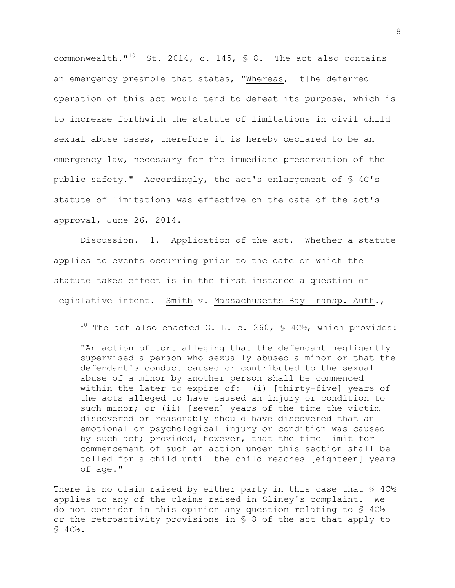commonwealth." $^{10}$  St. 2014, c. 145, § 8. The act also contains an emergency preamble that states, "Whereas, [t]he deferred operation of this act would tend to defeat its purpose, which is to increase forthwith the statute of limitations in civil child sexual abuse cases, therefore it is hereby declared to be an emergency law, necessary for the immediate preservation of the public safety." Accordingly, the act's enlargement of § 4C's statute of limitations was effective on the date of the act's approval, June 26, 2014.

Discussion. 1. Application of the act. Whether a statute applies to events occurring prior to the date on which the statute takes effect is in the first instance a question of legislative intent. Smith v. Massachusetts Bay Transp. Auth.,

÷.

"An action of tort alleging that the defendant negligently supervised a person who sexually abused a minor or that the defendant's conduct caused or contributed to the sexual abuse of a minor by another person shall be commenced within the later to expire of: (i) [thirty-five] years of the acts alleged to have caused an injury or condition to such minor; or (ii) [seven] years of the time the victim discovered or reasonably should have discovered that an emotional or psychological injury or condition was caused by such act; provided, however, that the time limit for commencement of such an action under this section shall be tolled for a child until the child reaches [eighteen] years of age."

There is no claim raised by either party in this case that  $\frac{1}{5}$  4C $\frac{1}{2}$ applies to any of the claims raised in Sliney's complaint. We do not consider in this opinion any question relating to § 4C½ or the retroactivity provisions in § 8 of the act that apply to § 4C½.

<sup>&</sup>lt;sup>10</sup> The act also enacted G. L. c. 260, § 4C<sup>1</sup>%, which provides: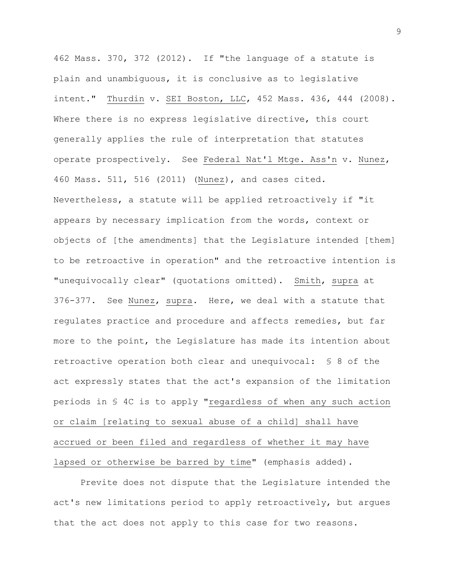462 Mass. 370, 372 (2012). If "the language of a statute is plain and unambiguous, it is conclusive as to legislative intent." Thurdin v. SEI Boston, LLC, 452 Mass. 436, 444 (2008). Where there is no express legislative directive, this court generally applies the rule of interpretation that statutes operate prospectively. See Federal Nat'l Mtge. Ass'n v. Nunez, 460 Mass. 511, 516 (2011) (Nunez), and cases cited. Nevertheless, a statute will be applied retroactively if "it appears by necessary implication from the words, context or objects of [the amendments] that the Legislature intended [them] to be retroactive in operation" and the retroactive intention is "unequivocally clear" (quotations omitted). Smith, supra at 376-377. See Nunez, supra. Here, we deal with a statute that regulates practice and procedure and affects remedies, but far more to the point, the Legislature has made its intention about retroactive operation both clear and unequivocal: § 8 of the act expressly states that the act's expansion of the limitation periods in § 4C is to apply "regardless of when any such action or claim [relating to sexual abuse of a child] shall have accrued or been filed and regardless of whether it may have lapsed or otherwise be barred by time" (emphasis added).

Previte does not dispute that the Legislature intended the act's new limitations period to apply retroactively, but argues that the act does not apply to this case for two reasons.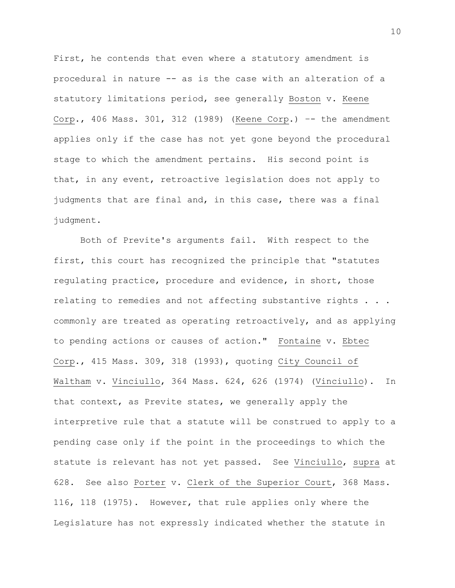First, he contends that even where a statutory amendment is procedural in nature -- as is the case with an alteration of a statutory limitations period, see generally Boston v. Keene Corp., 406 Mass. 301, 312 (1989) (Keene Corp.) –- the amendment applies only if the case has not yet gone beyond the procedural stage to which the amendment pertains. His second point is that, in any event, retroactive legislation does not apply to judgments that are final and, in this case, there was a final judgment.

Both of Previte's arguments fail. With respect to the first, this court has recognized the principle that "statutes regulating practice, procedure and evidence, in short, those relating to remedies and not affecting substantive rights . . . commonly are treated as operating retroactively, and as applying to pending actions or causes of action." Fontaine v. Ebtec Corp., 415 Mass. 309, 318 (1993), quoting City Council of Waltham v. Vinciullo, 364 Mass. 624, 626 (1974) (Vinciullo). In that context, as Previte states, we generally apply the interpretive rule that a statute will be construed to apply to a pending case only if the point in the proceedings to which the statute is relevant has not yet passed. See Vinciullo, supra at 628. See also Porter v. Clerk of the Superior Court, 368 Mass. 116, 118 (1975). However, that rule applies only where the Legislature has not expressly indicated whether the statute in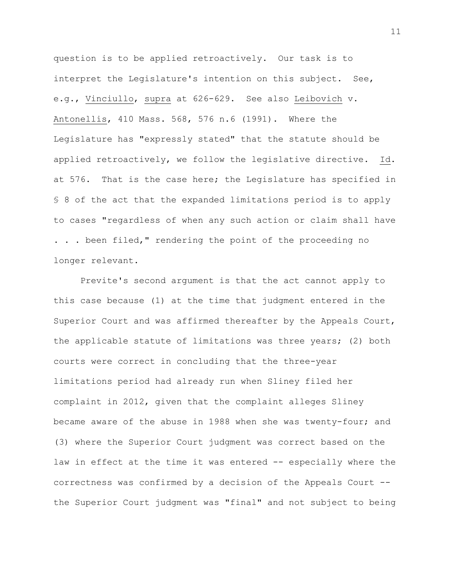question is to be applied retroactively. Our task is to interpret the Legislature's intention on this subject. See, e.g., Vinciullo, supra at 626-629. See also Leibovich v. Antonellis, 410 Mass. 568, 576 n.6 (1991). Where the Legislature has "expressly stated" that the statute should be applied retroactively, we follow the legislative directive. Id. at 576. That is the case here; the Legislature has specified in § 8 of the act that the expanded limitations period is to apply to cases "regardless of when any such action or claim shall have . . . been filed," rendering the point of the proceeding no longer relevant.

Previte's second argument is that the act cannot apply to this case because (1) at the time that judgment entered in the Superior Court and was affirmed thereafter by the Appeals Court, the applicable statute of limitations was three years; (2) both courts were correct in concluding that the three-year limitations period had already run when Sliney filed her complaint in 2012, given that the complaint alleges Sliney became aware of the abuse in 1988 when she was twenty-four; and (3) where the Superior Court judgment was correct based on the law in effect at the time it was entered -- especially where the correctness was confirmed by a decision of the Appeals Court - the Superior Court judgment was "final" and not subject to being

11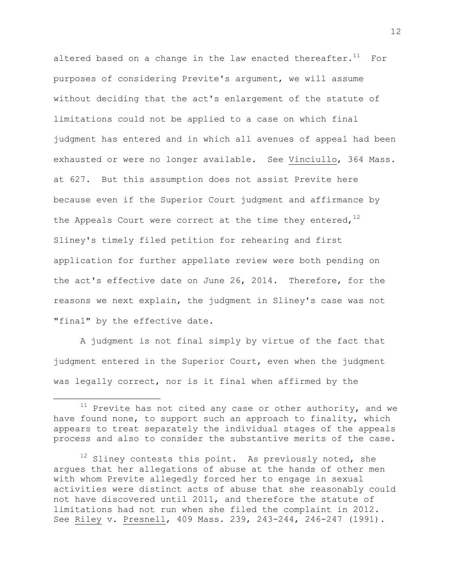altered based on a change in the law enacted thereafter.<sup>11</sup> For purposes of considering Previte's argument, we will assume without deciding that the act's enlargement of the statute of limitations could not be applied to a case on which final judgment has entered and in which all avenues of appeal had been exhausted or were no longer available. See Vinciullo, 364 Mass. at 627. But this assumption does not assist Previte here because even if the Superior Court judgment and affirmance by the Appeals Court were correct at the time they entered,  $12$ Sliney's timely filed petition for rehearing and first application for further appellate review were both pending on the act's effective date on June 26, 2014. Therefore, for the reasons we next explain, the judgment in Sliney's case was not "final" by the effective date.

A judgment is not final simply by virtue of the fact that judgment entered in the Superior Court, even when the judgment was legally correct, nor is it final when affirmed by the

 $11$  Previte has not cited any case or other authority, and we have found none, to support such an approach to finality, which appears to treat separately the individual stages of the appeals process and also to consider the substantive merits of the case.

 $12$  Sliney contests this point. As previously noted, she argues that her allegations of abuse at the hands of other men with whom Previte allegedly forced her to engage in sexual activities were distinct acts of abuse that she reasonably could not have discovered until 2011, and therefore the statute of limitations had not run when she filed the complaint in 2012. See Riley v. Presnell, 409 Mass. 239, 243-244, 246-247 (1991).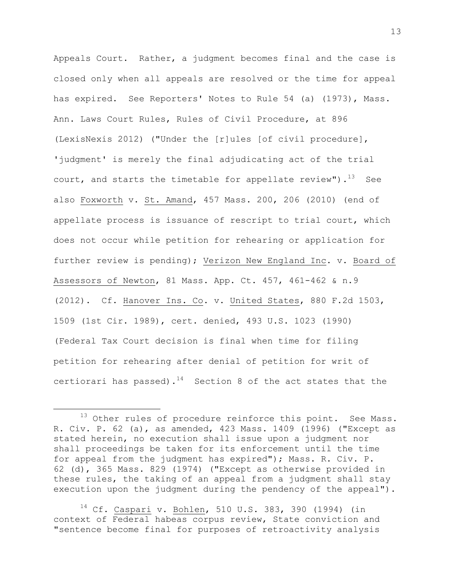Appeals Court. Rather, a judgment becomes final and the case is closed only when all appeals are resolved or the time for appeal has expired. See Reporters' Notes to Rule 54 (a) (1973), Mass. Ann. Laws Court Rules, Rules of Civil Procedure, at 896 (LexisNexis 2012) ("Under the [r]ules [of civil procedure], 'judgment' is merely the final adjudicating act of the trial court, and starts the timetable for appellate review").<sup>13</sup> See also Foxworth v. St. Amand, 457 Mass. 200, 206 (2010) (end of appellate process is issuance of rescript to trial court, which does not occur while petition for rehearing or application for further review is pending); Verizon New England Inc. v. Board of Assessors of Newton, 81 Mass. App. Ct. 457, 461-462 & n.9 (2012). Cf. Hanover Ins. Co. v. United States, 880 F.2d 1503, 1509 (1st Cir. 1989), cert. denied, 493 U.S. 1023 (1990) (Federal Tax Court decision is final when time for filing petition for rehearing after denial of petition for writ of certiorari has passed). $^{14}$  Section 8 of the act states that the

÷.

<sup>14</sup> Cf. Caspari v. Bohlen, 510 U.S. 383, 390 (1994) (in context of Federal habeas corpus review, State conviction and "sentence become final for purposes of retroactivity analysis

 $13$  Other rules of procedure reinforce this point. See Mass. R. Civ. P. 62 (a), as amended, 423 Mass. 1409 (1996) ("Except as stated herein, no execution shall issue upon a judgment nor shall proceedings be taken for its enforcement until the time for appeal from the judgment has expired"); Mass. R. Civ. P. 62 (d), 365 Mass. 829 (1974) ("Except as otherwise provided in these rules, the taking of an appeal from a judgment shall stay execution upon the judgment during the pendency of the appeal").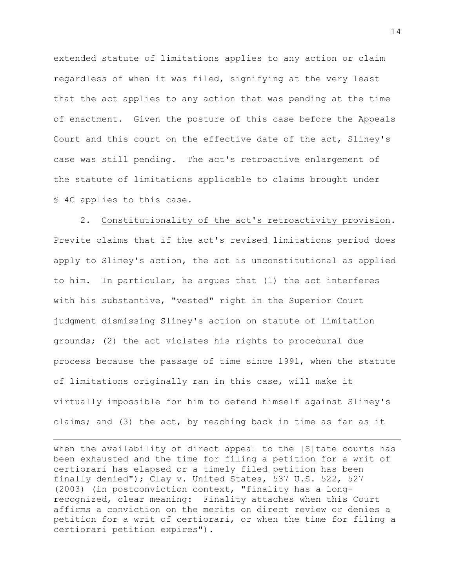extended statute of limitations applies to any action or claim regardless of when it was filed, signifying at the very least that the act applies to any action that was pending at the time of enactment. Given the posture of this case before the Appeals Court and this court on the effective date of the act, Sliney's case was still pending. The act's retroactive enlargement of the statute of limitations applicable to claims brought under § 4C applies to this case.

2. Constitutionality of the act's retroactivity provision. Previte claims that if the act's revised limitations period does apply to Sliney's action, the act is unconstitutional as applied to him. In particular, he argues that (1) the act interferes with his substantive, "vested" right in the Superior Court judgment dismissing Sliney's action on statute of limitation grounds; (2) the act violates his rights to procedural due process because the passage of time since 1991, when the statute of limitations originally ran in this case, will make it virtually impossible for him to defend himself against Sliney's claims; and (3) the act, by reaching back in time as far as it

when the availability of direct appeal to the [S]tate courts has been exhausted and the time for filing a petition for a writ of certiorari has elapsed or a timely filed petition has been finally denied"); Clay v. United States, 537 U.S. 522, 527 (2003) (in postconviction context, "finality has a longrecognized, clear meaning: Finality attaches when this Court affirms a conviction on the merits on direct review or denies a petition for a writ of certiorari, or when the time for filing a certiorari petition expires").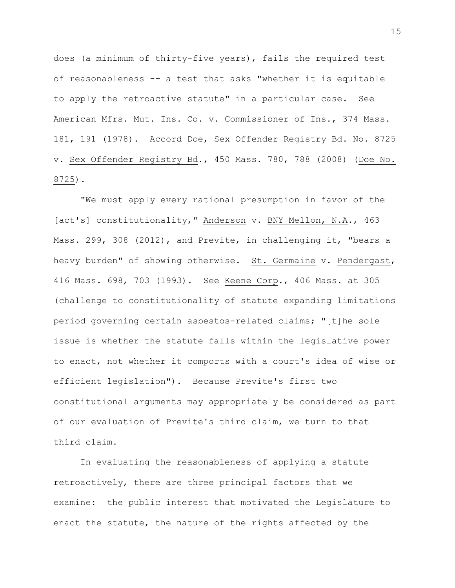does (a minimum of thirty-five years), fails the required test of reasonableness -- a test that asks "whether it is equitable to apply the retroactive statute" in a particular case. See American Mfrs. Mut. Ins. Co. v. Commissioner of Ins., 374 Mass. 181, 191 (1978). Accord Doe, Sex Offender Registry Bd. No. 8725 v. Sex Offender Registry Bd., 450 Mass. 780, 788 (2008) (Doe No. 8725).

"We must apply every rational presumption in favor of the [act's] constitutionality," Anderson v. BNY Mellon, N.A., 463 Mass. 299, 308 (2012), and Previte, in challenging it, "bears a heavy burden" of showing otherwise. St. Germaine v. Pendergast, 416 Mass. 698, 703 (1993). See Keene Corp., 406 Mass. at 305 (challenge to constitutionality of statute expanding limitations period governing certain asbestos-related claims; "[t]he sole issue is whether the statute falls within the legislative power to enact, not whether it comports with a court's idea of wise or efficient legislation"). Because Previte's first two constitutional arguments may appropriately be considered as part of our evaluation of Previte's third claim, we turn to that third claim.

In evaluating the reasonableness of applying a statute retroactively, there are three principal factors that we examine: the public interest that motivated the Legislature to enact the statute, the nature of the rights affected by the

15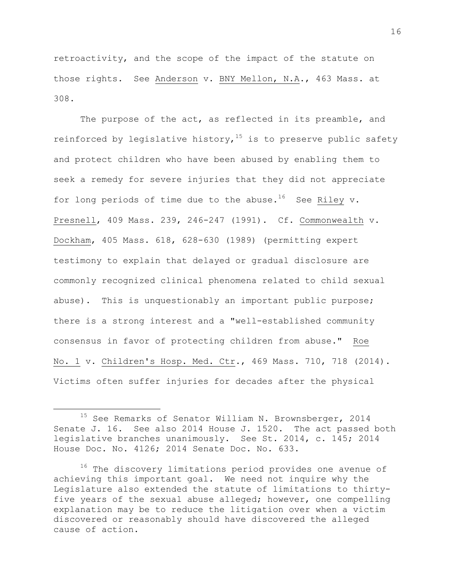retroactivity, and the scope of the impact of the statute on those rights. See Anderson v. BNY Mellon, N.A., 463 Mass. at 308.

The purpose of the act, as reflected in its preamble, and reinforced by legislative history,  $15$  is to preserve public safety and protect children who have been abused by enabling them to seek a remedy for severe injuries that they did not appreciate for long periods of time due to the abuse.<sup>16</sup> See Riley v. Presnell, 409 Mass. 239, 246-247 (1991). Cf. Commonwealth v. Dockham, 405 Mass. 618, 628-630 (1989) (permitting expert testimony to explain that delayed or gradual disclosure are commonly recognized clinical phenomena related to child sexual abuse). This is unquestionably an important public purpose; there is a strong interest and a "well-established community consensus in favor of protecting children from abuse." Roe No. 1 v. Children's Hosp. Med. Ctr., 469 Mass. 710, 718 (2014). Victims often suffer injuries for decades after the physical

<sup>&</sup>lt;sup>15</sup> See Remarks of Senator William N. Brownsberger, 2014 Senate J. 16. See also 2014 House J. 1520. The act passed both legislative branches unanimously. See St. 2014, c. 145; 2014 House Doc. No. 4126; 2014 Senate Doc. No. 633.

<sup>&</sup>lt;sup>16</sup> The discovery limitations period provides one avenue of achieving this important goal. We need not inquire why the Legislature also extended the statute of limitations to thirtyfive years of the sexual abuse alleged; however, one compelling explanation may be to reduce the litigation over when a victim discovered or reasonably should have discovered the alleged cause of action.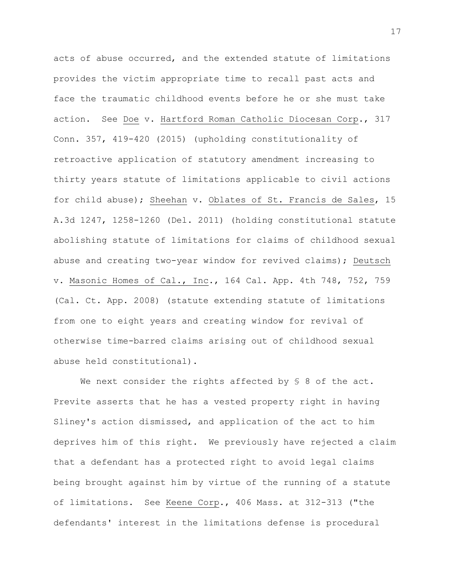acts of abuse occurred, and the extended statute of limitations provides the victim appropriate time to recall past acts and face the traumatic childhood events before he or she must take action. See Doe v. Hartford Roman Catholic Diocesan Corp., 317 Conn. 357, 419-420 (2015) (upholding constitutionality of retroactive application of statutory amendment increasing to thirty years statute of limitations applicable to civil actions for child abuse); Sheehan v. Oblates of St. Francis de Sales, 15 A.3d 1247, 1258-1260 (Del. 2011) (holding constitutional statute abolishing statute of limitations for claims of childhood sexual abuse and creating two-year window for revived claims); Deutsch v. Masonic Homes of Cal., Inc., 164 Cal. App. 4th 748, 752, 759 (Cal. Ct. App. 2008) (statute extending statute of limitations from one to eight years and creating window for revival of otherwise time-barred claims arising out of childhood sexual abuse held constitutional).

We next consider the rights affected by § 8 of the act. Previte asserts that he has a vested property right in having Sliney's action dismissed, and application of the act to him deprives him of this right. We previously have rejected a claim that a defendant has a protected right to avoid legal claims being brought against him by virtue of the running of a statute of limitations. See Keene Corp., 406 Mass. at 312-313 ("the defendants' interest in the limitations defense is procedural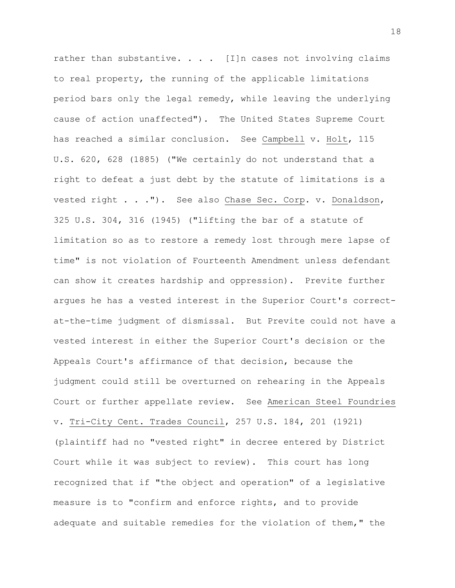rather than substantive.  $\ldots$  . [I]n cases not involving claims to real property, the running of the applicable limitations period bars only the legal remedy, while leaving the underlying cause of action unaffected"). The United States Supreme Court has reached a similar conclusion. See Campbell v. Holt, 115 U.S. 620, 628 (1885) ("We certainly do not understand that a right to defeat a just debt by the statute of limitations is a vested right . . ."). See also Chase Sec. Corp. v. Donaldson, 325 U.S. 304, 316 (1945) ("lifting the bar of a statute of limitation so as to restore a remedy lost through mere lapse of time" is not violation of Fourteenth Amendment unless defendant can show it creates hardship and oppression). Previte further argues he has a vested interest in the Superior Court's correctat-the-time judgment of dismissal. But Previte could not have a vested interest in either the Superior Court's decision or the Appeals Court's affirmance of that decision, because the judgment could still be overturned on rehearing in the Appeals Court or further appellate review. See American Steel Foundries v. Tri-City Cent. Trades Council, 257 U.S. 184, 201 (1921) (plaintiff had no "vested right" in decree entered by District Court while it was subject to review). This court has long recognized that if "the object and operation" of a legislative measure is to "confirm and enforce rights, and to provide adequate and suitable remedies for the violation of them," the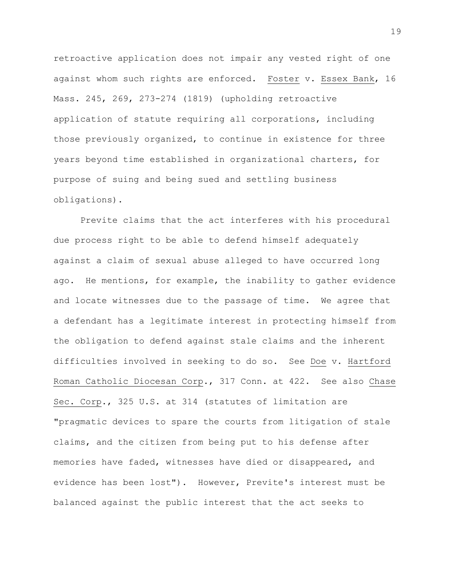retroactive application does not impair any vested right of one against whom such rights are enforced. Foster v. Essex Bank, 16 Mass. 245, 269, 273-274 (1819) (upholding retroactive application of statute requiring all corporations, including those previously organized, to continue in existence for three years beyond time established in organizational charters, for purpose of suing and being sued and settling business obligations).

Previte claims that the act interferes with his procedural due process right to be able to defend himself adequately against a claim of sexual abuse alleged to have occurred long ago. He mentions, for example, the inability to gather evidence and locate witnesses due to the passage of time. We agree that a defendant has a legitimate interest in protecting himself from the obligation to defend against stale claims and the inherent difficulties involved in seeking to do so. See Doe v. Hartford Roman Catholic Diocesan Corp., 317 Conn. at 422. See also Chase Sec. Corp., 325 U.S. at 314 (statutes of limitation are "pragmatic devices to spare the courts from litigation of stale claims, and the citizen from being put to his defense after memories have faded, witnesses have died or disappeared, and evidence has been lost"). However, Previte's interest must be balanced against the public interest that the act seeks to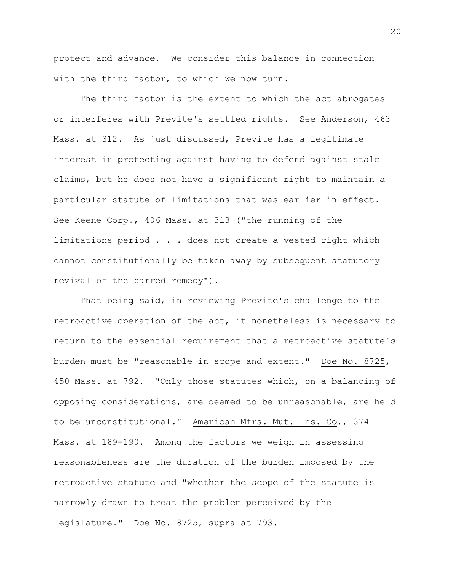protect and advance. We consider this balance in connection with the third factor, to which we now turn.

The third factor is the extent to which the act abrogates or interferes with Previte's settled rights. See Anderson, 463 Mass. at 312. As just discussed, Previte has a legitimate interest in protecting against having to defend against stale claims, but he does not have a significant right to maintain a particular statute of limitations that was earlier in effect. See Keene Corp., 406 Mass. at 313 ("the running of the limitations period . . . does not create a vested right which cannot constitutionally be taken away by subsequent statutory revival of the barred remedy").

That being said, in reviewing Previte's challenge to the retroactive operation of the act, it nonetheless is necessary to return to the essential requirement that a retroactive statute's burden must be "reasonable in scope and extent." Doe No. 8725, 450 Mass. at 792. "Only those statutes which, on a balancing of opposing considerations, are deemed to be unreasonable, are held to be unconstitutional." American Mfrs. Mut. Ins. Co., 374 Mass. at 189-190. Among the factors we weigh in assessing reasonableness are the duration of the burden imposed by the retroactive statute and "whether the scope of the statute is narrowly drawn to treat the problem perceived by the legislature." Doe No. 8725, supra at 793.

20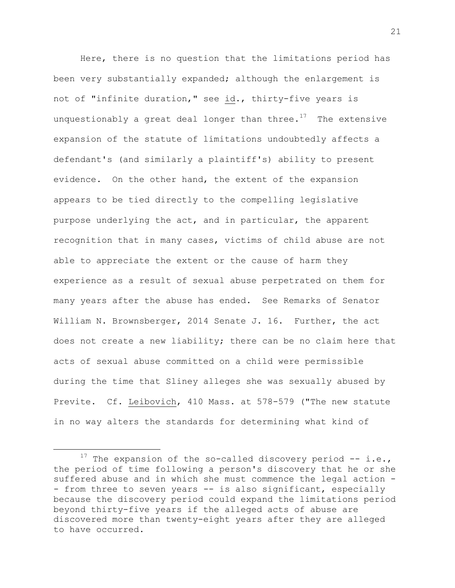Here, there is no question that the limitations period has been very substantially expanded; although the enlargement is not of "infinite duration," see id., thirty-five years is unquestionably a great deal longer than three. $17$  The extensive expansion of the statute of limitations undoubtedly affects a defendant's (and similarly a plaintiff's) ability to present evidence. On the other hand, the extent of the expansion appears to be tied directly to the compelling legislative purpose underlying the act, and in particular, the apparent recognition that in many cases, victims of child abuse are not able to appreciate the extent or the cause of harm they experience as a result of sexual abuse perpetrated on them for many years after the abuse has ended. See Remarks of Senator William N. Brownsberger, 2014 Senate J. 16. Further, the act does not create a new liability; there can be no claim here that acts of sexual abuse committed on a child were permissible during the time that Sliney alleges she was sexually abused by Previte. Cf. Leibovich, 410 Mass. at 578-579 ("The new statute in no way alters the standards for determining what kind of

<sup>&</sup>lt;sup>17</sup> The expansion of the so-called discovery period  $-$  i.e., the period of time following a person's discovery that he or she suffered abuse and in which she must commence the legal action - - from three to seven years -- is also significant, especially because the discovery period could expand the limitations period beyond thirty-five years if the alleged acts of abuse are discovered more than twenty-eight years after they are alleged to have occurred.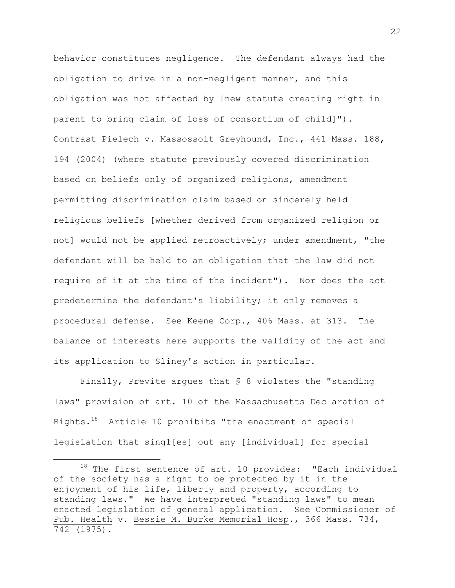behavior constitutes negligence. The defendant always had the obligation to drive in a non-negligent manner, and this obligation was not affected by [new statute creating right in parent to bring claim of loss of consortium of child]"). Contrast Pielech v. Massossoit Greyhound, Inc., 441 Mass. 188, 194 (2004) (where statute previously covered discrimination based on beliefs only of organized religions, amendment permitting discrimination claim based on sincerely held religious beliefs [whether derived from organized religion or not] would not be applied retroactively; under amendment, "the defendant will be held to an obligation that the law did not require of it at the time of the incident"). Nor does the act predetermine the defendant's liability; it only removes a procedural defense. See Keene Corp., 406 Mass. at 313. The balance of interests here supports the validity of the act and its application to Sliney's action in particular.

Finally, Previte argues that § 8 violates the "standing laws" provision of art. 10 of the Massachusetts Declaration of Rights. $^{18}$  Article 10 prohibits "the enactment of special legislation that singl[es] out any [individual] for special

 $18$  The first sentence of art. 10 provides: "Each individual of the society has a right to be protected by it in the enjoyment of his life, liberty and property, according to standing laws." We have interpreted "standing laws" to mean enacted legislation of general application. See Commissioner of Pub. Health v. Bessie M. Burke Memorial Hosp., 366 Mass. 734, 742 (1975).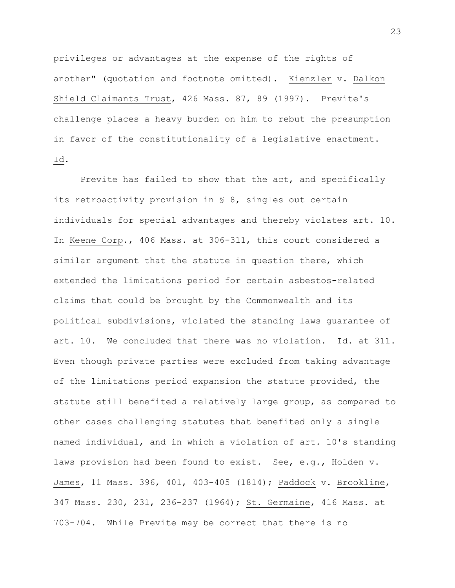privileges or advantages at the expense of the rights of another" (quotation and footnote omitted). Kienzler v. Dalkon Shield Claimants Trust, 426 Mass. 87, 89 (1997). Previte's challenge places a heavy burden on him to rebut the presumption in favor of the constitutionality of a legislative enactment. Id.

Previte has failed to show that the act, and specifically its retroactivity provision in § 8, singles out certain individuals for special advantages and thereby violates art. 10. In Keene Corp., 406 Mass. at 306-311, this court considered a similar argument that the statute in question there, which extended the limitations period for certain asbestos-related claims that could be brought by the Commonwealth and its political subdivisions, violated the standing laws guarantee of art. 10. We concluded that there was no violation. Id. at 311. Even though private parties were excluded from taking advantage of the limitations period expansion the statute provided, the statute still benefited a relatively large group, as compared to other cases challenging statutes that benefited only a single named individual, and in which a violation of art. 10's standing laws provision had been found to exist. See, e.g., Holden v. James, 11 Mass. 396, 401, 403-405 (1814); Paddock v. Brookline, 347 Mass. 230, 231, 236-237 (1964); St. Germaine, 416 Mass. at 703-704. While Previte may be correct that there is no